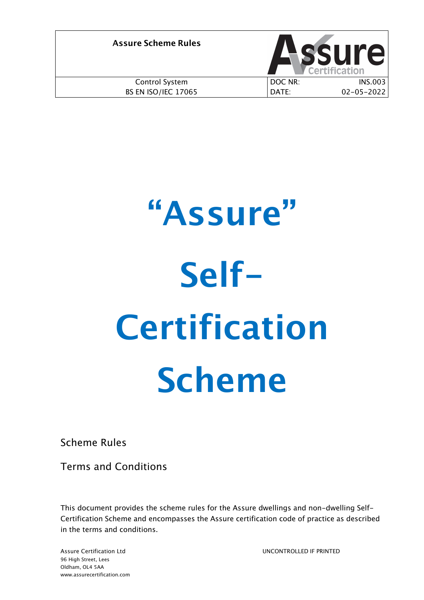| <b>Assure Scheme Rules</b> |         | <b>SSUre</b>     |
|----------------------------|---------|------------------|
| Control System             | DOC NR: | <b>INS.003</b>   |
| <b>BS EN ISO/IEC 17065</b> | DATE:   | $02 - 05 - 2022$ |

# **"Assure" Self-Certification Scheme**

Scheme Rules

Terms and Conditions

This document provides the scheme rules for the Assure dwellings and non-dwelling Self-Certification Scheme and encompasses the Assure certification code of practice as described in the terms and conditions.

UNCONTROLLED IF PRINTED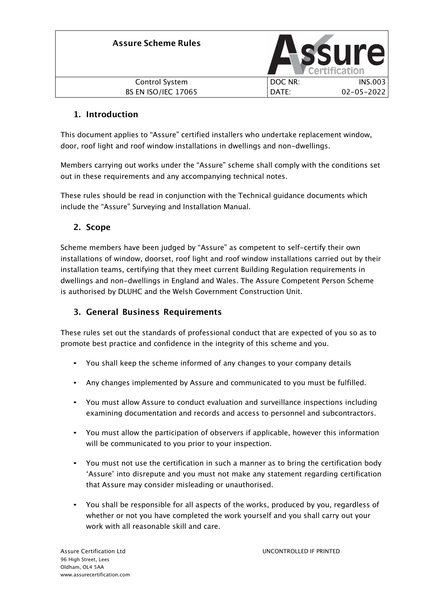| <b>Assure Scheme Rules</b> |         | <b>ASSUIP</b><br>Certification |
|----------------------------|---------|--------------------------------|
| Control System             | DOC NR: | <b>INS.003</b>                 |
| <b>BS EN ISO/IEC 17065</b> | DATE:   | $02 - 05 - 2022$               |

# **1. Introduction**

This document applies to "Assure" certified installers who undertake replacement window, door, roof light and roof window installations in dwellings and non-dwellings.

Members carrying out works under the "Assure" scheme shall comply with the conditions set out in these requirements and any accompanying technical notes.

These rules should be read in conjunction with the Technical guidance documents which include the "Assure" Surveying and Installation Manual.

# **2. Scope**

Scheme members have been judged by "Assure" as competent to self-certify their own installations of window, doorset, roof light and roof window installations carried out by their installation teams, certifying that they meet current Building Regulation requirements in dwellings and non-dwellings in England and Wales. The Assure Competent Person Scheme is authorised by DLUHC and the Welsh Government Construction Unit.

# **3. General Business Requirements**

These rules set out the standards of professional conduct that are expected of you so as to promote best practice and confidence in the integrity of this scheme and you.

- You shall keep the scheme informed of any changes to your company details
- Any changes implemented by Assure and communicated to you must be fulfilled.
- You must allow Assure to conduct evaluation and surveillance inspections including examining documentation and records and access to personnel and subcontractors.
- You must allow the participation of observers if applicable, however this information will be communicated to you prior to your inspection.
- You must not use the certification in such a manner as to bring the certification body 'Assure' into disrepute and you must not make any statement regarding certification that Assure may consider misleading or unauthorised.
- You shall be responsible for all aspects of the works, produced by you, regardless of whether or not you have completed the work yourself and you shall carry out your work with all reasonable skill and care.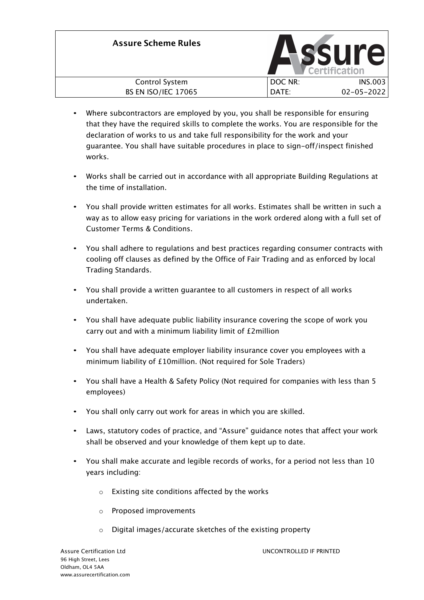| <b>Assure Scheme Rules</b> |         | <b>ASSUre</b>    |
|----------------------------|---------|------------------|
| Control System             | DOC NR: | <b>INS.003</b>   |
| <b>BS EN ISO/IEC 17065</b> | DATE:   | $02 - 05 - 2022$ |

- Where subcontractors are employed by you, you shall be responsible for ensuring that they have the required skills to complete the works. You are responsible for the declaration of works to us and take full responsibility for the work and your guarantee. You shall have suitable procedures in place to sign-off/inspect finished works.
- Works shall be carried out in accordance with all appropriate Building Regulations at the time of installation.
- You shall provide written estimates for all works. Estimates shall be written in such a way as to allow easy pricing for variations in the work ordered along with a full set of Customer Terms & Conditions.
- You shall adhere to regulations and best practices regarding consumer contracts with cooling off clauses as defined by the Office of Fair Trading and as enforced by local Trading Standards.
- You shall provide a written guarantee to all customers in respect of all works undertaken.
- You shall have adequate public liability insurance covering the scope of work you carry out and with a minimum liability limit of £2million
- You shall have adequate employer liability insurance cover you employees with a minimum liability of £10million. (Not required for Sole Traders)
- You shall have a Health & Safety Policy (Not required for companies with less than 5 employees)
- You shall only carry out work for areas in which you are skilled.
- Laws, statutory codes of practice, and "Assure" guidance notes that affect your work shall be observed and your knowledge of them kept up to date.
- You shall make accurate and legible records of works, for a period not less than 10 years including:
	- o Existing site conditions affected by the works
	- o Proposed improvements
	- o Digital images/accurate sketches of the existing property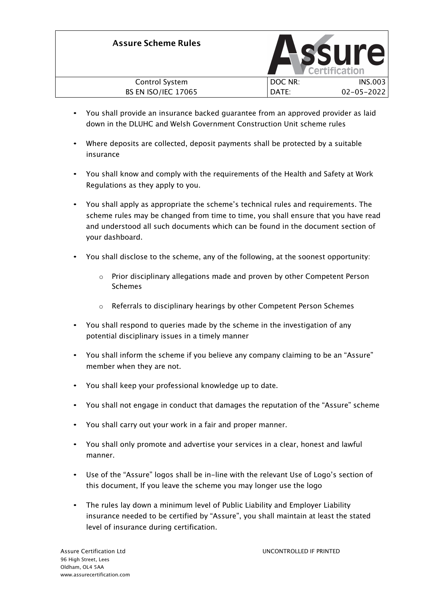| <b>Assure Scheme Rules</b> |         | <b>SSUre</b>     |
|----------------------------|---------|------------------|
| Control System             | DOC NR: | <b>INS.003</b>   |
| <b>BS EN ISO/IEC 17065</b> | DATE:   | $02 - 05 - 2022$ |

- You shall provide an insurance backed guarantee from an approved provider as laid down in the DLUHC and Welsh Government Construction Unit scheme rules
- Where deposits are collected, deposit payments shall be protected by a suitable insurance
- You shall know and comply with the requirements of the Health and Safety at Work Regulations as they apply to you.
- You shall apply as appropriate the scheme's technical rules and requirements. The scheme rules may be changed from time to time, you shall ensure that you have read and understood all such documents which can be found in the document section of your dashboard.
- You shall disclose to the scheme, any of the following, at the soonest opportunity:
	- o Prior disciplinary allegations made and proven by other Competent Person Schemes
	- o Referrals to disciplinary hearings by other Competent Person Schemes
- You shall respond to queries made by the scheme in the investigation of any potential disciplinary issues in a timely manner
- You shall inform the scheme if you believe any company claiming to be an "Assure" member when they are not.
- You shall keep your professional knowledge up to date.
- You shall not engage in conduct that damages the reputation of the "Assure" scheme
- You shall carry out your work in a fair and proper manner.
- You shall only promote and advertise your services in a clear, honest and lawful manner.
- Use of the "Assure" logos shall be in-line with the relevant Use of Logo's section of this document, If you leave the scheme you may longer use the logo
- The rules lay down a minimum level of Public Liability and Employer Liability insurance needed to be certified by "Assure", you shall maintain at least the stated level of insurance during certification.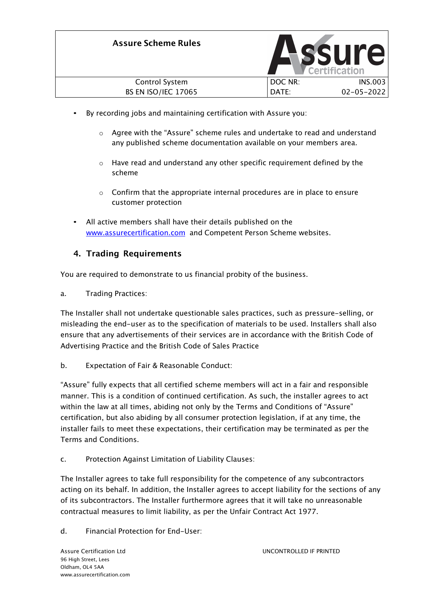

- By recording jobs and maintaining certification with Assure you:
	- $\circ$  Agree with the "Assure" scheme rules and undertake to read and understand any published scheme documentation available on your members area.
	- o Have read and understand any other specific requirement defined by the scheme
	- $\circ$  Confirm that the appropriate internal procedures are in place to ensure customer protection
- All active members shall have their details published on the www.assurecertification.com and Competent Person Scheme websites.

### **4. Trading Requirements**

You are required to demonstrate to us financial probity of the business.

a. Trading Practices:

The Installer shall not undertake questionable sales practices, such as pressure-selling, or misleading the end-user as to the specification of materials to be used. Installers shall also ensure that any advertisements of their services are in accordance with the British Code of Advertising Practice and the British Code of Sales Practice

b. Expectation of Fair & Reasonable Conduct:

"Assure" fully expects that all certified scheme members will act in a fair and responsible manner. This is a condition of continued certification. As such, the installer agrees to act within the law at all times, abiding not only by the Terms and Conditions of "Assure" certification, but also abiding by all consumer protection legislation, if at any time, the installer fails to meet these expectations, their certification may be terminated as per the Terms and Conditions.

c. Protection Against Limitation of Liability Clauses:

The Installer agrees to take full responsibility for the competence of any subcontractors acting on its behalf. In addition, the Installer agrees to accept liability for the sections of any of its subcontractors. The Installer furthermore agrees that it will take no unreasonable contractual measures to limit liability, as per the Unfair Contract Act 1977.

d. Financial Protection for End-User: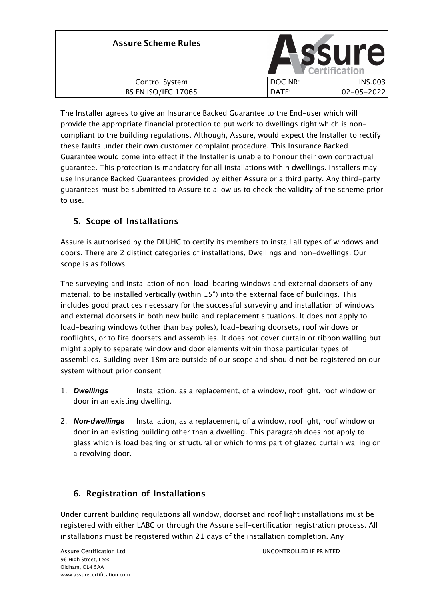| <b>Assure Scheme Rules</b> |         | <b>Assure</b><br>Certification |
|----------------------------|---------|--------------------------------|
| Control System             | DOC NR: | <b>INS.003</b>                 |
| <b>BS EN ISO/IEC 17065</b> | DATE:   | $02 - 05 - 2022$               |

The Installer agrees to give an Insurance Backed Guarantee to the End-user which will provide the appropriate financial protection to put work to dwellings right which is noncompliant to the building regulations. Although, Assure, would expect the Installer to rectify these faults under their own customer complaint procedure. This Insurance Backed Guarantee would come into effect if the Installer is unable to honour their own contractual guarantee. This protection is mandatory for all installations within dwellings. Installers may use Insurance Backed Guarantees provided by either Assure or a third party. Any third-party guarantees must be submitted to Assure to allow us to check the validity of the scheme prior to use.

# **5. Scope of Installations**

Assure is authorised by the DLUHC to certify its members to install all types of windows and doors. There are 2 distinct categories of installations, Dwellings and non-dwellings. Our scope is as follows

The surveying and installation of non-load-bearing windows and external doorsets of any material, to be installed vertically (within 15°) into the external face of buildings. This includes good practices necessary for the successful surveying and installation of windows and external doorsets in both new build and replacement situations. It does not apply to load-bearing windows (other than bay poles), load-bearing doorsets, roof windows or rooflights, or to fire doorsets and assemblies. It does not cover curtain or ribbon walling but might apply to separate window and door elements within those particular types of assemblies. Building over 18m are outside of our scope and should not be registered on our system without prior consent

- 1. *Dwellings* Installation, as a replacement, of a window, rooflight, roof window or door in an existing dwelling.
- 2. *Non-dwellings* Installation, as a replacement, of a window, rooflight, roof window or door in an existing building other than a dwelling. This paragraph does not apply to glass which is load bearing or structural or which forms part of glazed curtain walling or a revolving door.

# **6. Registration of Installations**

Under current building regulations all window, doorset and roof light installations must be registered with either LABC or through the Assure self-certification registration process. All installations must be registered within 21 days of the installation completion. Any

UNCONTROLLED IF PRINTED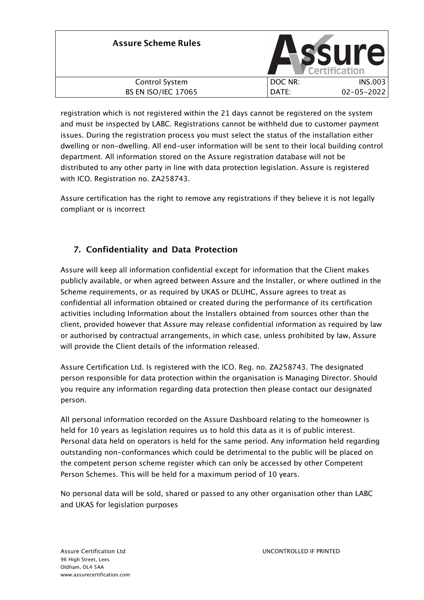| <b>Assure Scheme Rules</b> |         | ssure<br>Certification |
|----------------------------|---------|------------------------|
| Control System             | DOC NR: | <b>INS.003</b>         |
| <b>BS EN ISO/IEC 17065</b> | DATE:   | $02 - 05 - 2022$       |

registration which is not registered within the 21 days cannot be registered on the system and must be inspected by LABC. Registrations cannot be withheld due to customer payment issues. During the registration process you must select the status of the installation either dwelling or non-dwelling. All end-user information will be sent to their local building control department. All information stored on the Assure registration database will not be distributed to any other party in line with data protection legislation. Assure is registered with ICO. Registration no. ZA258743.

Assure certification has the right to remove any registrations if they believe it is not legally compliant or is incorrect

# **7. Confidentiality and Data Protection**

Assure will keep all information confidential except for information that the Client makes publicly available, or when agreed between Assure and the Installer, or where outlined in the Scheme requirements, or as required by UKAS or DLUHC, Assure agrees to treat as confidential all information obtained or created during the performance of its certification activities including Information about the Installers obtained from sources other than the client, provided however that Assure may release confidential information as required by law or authorised by contractual arrangements, in which case, unless prohibited by law, Assure will provide the Client details of the information released.

Assure Certification Ltd. Is registered with the ICO. Reg. no. ZA258743. The designated person responsible for data protection within the organisation is Managing Director. Should you require any information regarding data protection then please contact our designated person.

All personal information recorded on the Assure Dashboard relating to the homeowner is held for 10 years as legislation requires us to hold this data as it is of public interest. Personal data held on operators is held for the same period. Any information held regarding outstanding non-conformances which could be detrimental to the public will be placed on the competent person scheme register which can only be accessed by other Competent Person Schemes. This will be held for a maximum period of 10 years.

No personal data will be sold, shared or passed to any other organisation other than LABC and UKAS for legislation purposes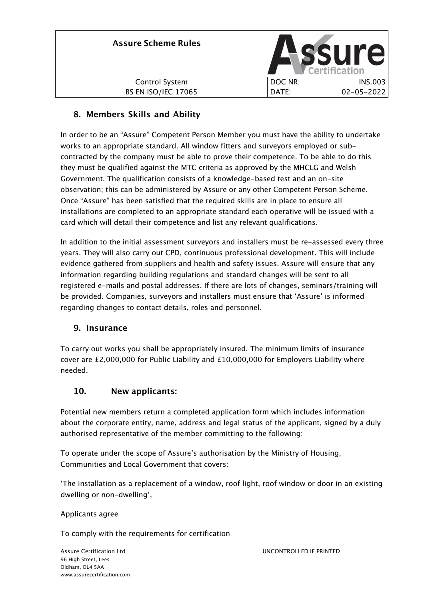| <b>Assure Scheme Rules</b> |         | <b>SSUre.</b><br>Certification |
|----------------------------|---------|--------------------------------|
| Control System             | DOC NR: | <b>INS.003</b>                 |
| <b>BS EN ISO/IEC 17065</b> | DATE:   | $02 - 05 - 2022$               |

# **8. Members Skills and Ability**

In order to be an "Assure" Competent Person Member you must have the ability to undertake works to an appropriate standard. All window fitters and surveyors employed or subcontracted by the company must be able to prove their competence. To be able to do this they must be qualified against the MTC criteria as approved by the MHCLG and Welsh Government. The qualification consists of a knowledge-based test and an on-site observation; this can be administered by Assure or any other Competent Person Scheme. Once "Assure" has been satisfied that the required skills are in place to ensure all installations are completed to an appropriate standard each operative will be issued with a card which will detail their competence and list any relevant qualifications.

In addition to the initial assessment surveyors and installers must be re-assessed every three years. They will also carry out CPD, continuous professional development. This will include evidence gathered from suppliers and health and safety issues. Assure will ensure that any information regarding building regulations and standard changes will be sent to all registered e-mails and postal addresses. If there are lots of changes, seminars/training will be provided. Companies, surveyors and installers must ensure that 'Assure' is informed regarding changes to contact details, roles and personnel.

# **9. Insurance**

To carry out works you shall be appropriately insured. The minimum limits of insurance cover are  $£2,000,000$  for Public Liability and  $£10,000,000$  for Employers Liability where needed.

# **10. New applicants:**

Potential new members return a completed application form which includes information about the corporate entity, name, address and legal status of the applicant, signed by a duly authorised representative of the member committing to the following:

To operate under the scope of Assure's authorisation by the Ministry of Housing, Communities and Local Government that covers:

'The installation as a replacement of a window, roof light, roof window or door in an existing dwelling or non-dwelling',

Applicants agree

To comply with the requirements for certification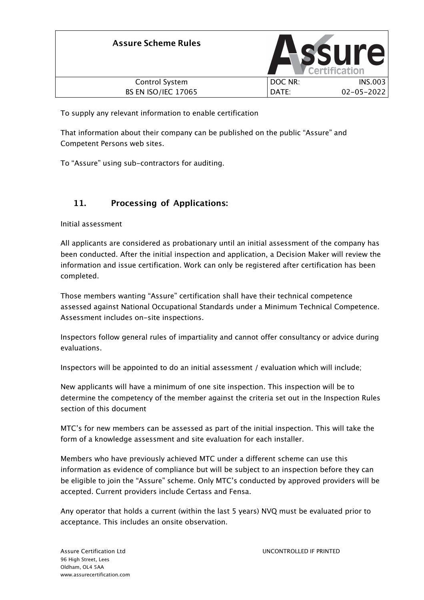| <b>Assure Scheme Rules</b> |         | SSUI<br><b>Certification</b> |
|----------------------------|---------|------------------------------|
| Control System             | DOC NR: | <b>INS.003</b>               |
| <b>BS EN ISO/IEC 17065</b> | DATE:   | $02 - 05 - 2022$             |

To supply any relevant information to enable certification

That information about their company can be published on the public "Assure" and Competent Persons web sites.

To "Assure" using sub-contractors for auditing.

# **11. Processing of Applications:**

Initial assessment

All applicants are considered as probationary until an initial assessment of the company has been conducted. After the initial inspection and application, a Decision Maker will review the information and issue certification. Work can only be registered after certification has been completed.

Those members wanting "Assure" certification shall have their technical competence assessed against National Occupational Standards under a Minimum Technical Competence. Assessment includes on-site inspections.

Inspectors follow general rules of impartiality and cannot offer consultancy or advice during evaluations.

Inspectors will be appointed to do an initial assessment / evaluation which will include;

New applicants will have a minimum of one site inspection. This inspection will be to determine the competency of the member against the criteria set out in the Inspection Rules section of this document

MTC's for new members can be assessed as part of the initial inspection. This will take the form of a knowledge assessment and site evaluation for each installer.

Members who have previously achieved MTC under a different scheme can use this information as evidence of compliance but will be subject to an inspection before they can be eligible to join the "Assure" scheme. Only MTC's conducted by approved providers will be accepted. Current providers include Certass and Fensa.

Any operator that holds a current (within the last 5 years) NVQ must be evaluated prior to acceptance. This includes an onsite observation.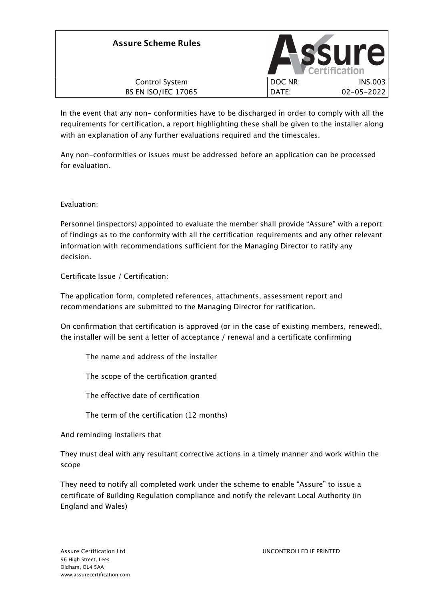| <b>Assure Scheme Rules</b> |         | <b>SSUre</b>     |
|----------------------------|---------|------------------|
| Control System             | DOC NR: | <b>INS.003</b>   |
| <b>BS EN ISO/IEC 17065</b> | DATE:   | $02 - 05 - 2022$ |

In the event that any non- conformities have to be discharged in order to comply with all the requirements for certification, a report highlighting these shall be given to the installer along with an explanation of any further evaluations required and the timescales.

Any non-conformities or issues must be addressed before an application can be processed for evaluation.

Evaluation:

Personnel (inspectors) appointed to evaluate the member shall provide "Assure" with a report of findings as to the conformity with all the certification requirements and any other relevant information with recommendations sufficient for the Managing Director to ratify any decision.

Certificate Issue / Certification:

The application form, completed references, attachments, assessment report and recommendations are submitted to the Managing Director for ratification.

On confirmation that certification is approved (or in the case of existing members, renewed), the installer will be sent a letter of acceptance / renewal and a certificate confirming

The name and address of the installer

The scope of the certification granted

The effective date of certification

The term of the certification (12 months)

And reminding installers that

They must deal with any resultant corrective actions in a timely manner and work within the scope

They need to notify all completed work under the scheme to enable "Assure" to issue a certificate of Building Regulation compliance and notify the relevant Local Authority (in England and Wales)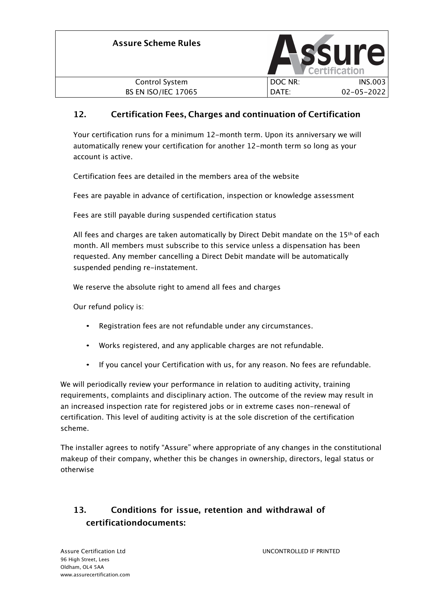| <b>Assure Scheme Rules</b> |         | <b>ssure</b><br>Certification |
|----------------------------|---------|-------------------------------|
| Control System             | DOC NR: | <b>INS.003</b>                |
| <b>BS EN ISO/IEC 17065</b> | DATE:   | $02 - 05 - 2022$              |

# **12. Certification Fees, Charges and continuation of Certification**

Your certification runs for a minimum 12-month term. Upon its anniversary we will automatically renew your certification for another 12-month term so long as your account is active.

Certification fees are detailed in the members area of the website

Fees are payable in advance of certification, inspection or knowledge assessment

Fees are still payable during suspended certification status

All fees and charges are taken automatically by Direct Debit mandate on the  $15<sup>th</sup>$  of each month. All members must subscribe to this service unless a dispensation has been requested. Any member cancelling a Direct Debit mandate will be automatically suspended pending re-instatement.

We reserve the absolute right to amend all fees and charges

Our refund policy is:

- Registration fees are not refundable under any circumstances.
- Works registered, and any applicable charges are not refundable.
- If you cancel your Certification with us, for any reason. No fees are refundable.

We will periodically review your performance in relation to auditing activity, training requirements, complaints and disciplinary action. The outcome of the review may result in an increased inspection rate for registered jobs or in extreme cases non-renewal of certification. This level of auditing activity is at the sole discretion of the certification scheme.

The installer agrees to notify "Assure" where appropriate of any changes in the constitutional makeup of their company, whether this be changes in ownership, directors, legal status or otherwise

# **13. Conditions for issue, retention and withdrawal of certificationdocuments:**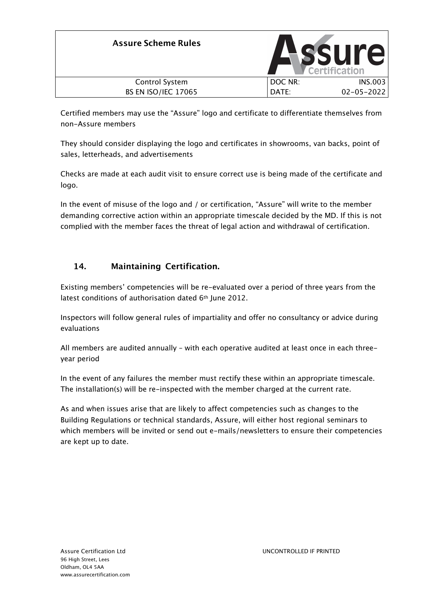| <b>Assure Scheme Rules</b> |         | <b>SSUre</b>     |
|----------------------------|---------|------------------|
| Control System             | DOC NR: | INS.003          |
| <b>BS EN ISO/IEC 17065</b> | DATE:   | $02 - 05 - 2022$ |

Certified members may use the "Assure" logo and certificate to differentiate themselves from non-Assure members

They should consider displaying the logo and certificates in showrooms, van backs, point of sales, letterheads, and advertisements

Checks are made at each audit visit to ensure correct use is being made of the certificate and logo.

In the event of misuse of the logo and / or certification, "Assure" will write to the member demanding corrective action within an appropriate timescale decided by the MD. If this is not complied with the member faces the threat of legal action and withdrawal of certification.

# **14. Maintaining Certification.**

Existing members' competencies will be re-evaluated over a period of three years from the latest conditions of authorisation dated 6<sup>th</sup> June 2012.

Inspectors will follow general rules of impartiality and offer no consultancy or advice during evaluations

All members are audited annually – with each operative audited at least once in each threeyear period

In the event of any failures the member must rectify these within an appropriate timescale. The installation(s) will be re-inspected with the member charged at the current rate.

As and when issues arise that are likely to affect competencies such as changes to the Building Regulations or technical standards, Assure, will either host regional seminars to which members will be invited or send out e-mails/newsletters to ensure their competencies are kept up to date.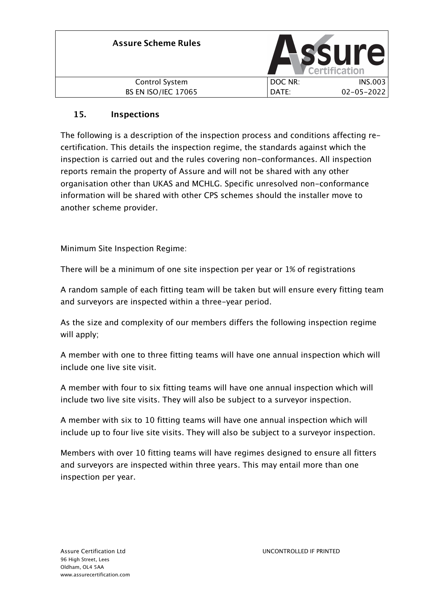| <b>Assure Scheme Rules</b> |         | SSU<br>$\mathbb{I}$<br>Certification |
|----------------------------|---------|--------------------------------------|
| Control System             | DOC NR: | <b>INS.003</b>                       |
| <b>BS EN ISO/IEC 17065</b> | DATE:   | $02 - 05 - 2022$                     |

# **15. Inspections**

The following is a description of the inspection process and conditions affecting recertification. This details the inspection regime, the standards against which the inspection is carried out and the rules covering non-conformances. All inspection reports remain the property of Assure and will not be shared with any other organisation other than UKAS and MCHLG. Specific unresolved non-conformance information will be shared with other CPS schemes should the installer move to another scheme provider.

Minimum Site Inspection Regime:

There will be a minimum of one site inspection per year or 1% of registrations

A random sample of each fitting team will be taken but will ensure every fitting team and surveyors are inspected within a three-year period.

As the size and complexity of our members differs the following inspection regime will apply;

A member with one to three fitting teams will have one annual inspection which will include one live site visit.

A member with four to six fitting teams will have one annual inspection which will include two live site visits. They will also be subject to a surveyor inspection.

A member with six to 10 fitting teams will have one annual inspection which will include up to four live site visits. They will also be subject to a surveyor inspection.

Members with over 10 fitting teams will have regimes designed to ensure all fitters and surveyors are inspected within three years. This may entail more than one inspection per year.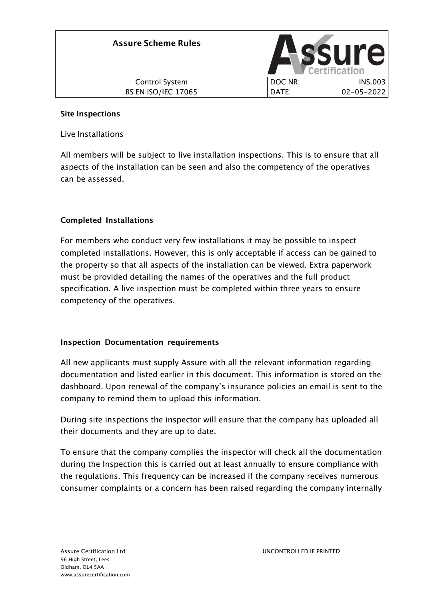| <b>Assure Scheme Rules</b> |         | <b>SSUI'</b><br>Certification |
|----------------------------|---------|-------------------------------|
| <b>Control System</b>      | DOC NR: | <b>INS.003</b>                |
| <b>BS EN ISO/IEC 17065</b> | DATE:   | $02 - 05 - 2022$              |

### **Site Inspections**

Live Installations

All members will be subject to live installation inspections. This is to ensure that all aspects of the installation can be seen and also the competency of the operatives can be assessed.

### **Completed Installations**

For members who conduct very few installations it may be possible to inspect completed installations. However, this is only acceptable if access can be gained to the property so that all aspects of the installation can be viewed. Extra paperwork must be provided detailing the names of the operatives and the full product specification. A live inspection must be completed within three years to ensure competency of the operatives.

### **Inspection Documentation requirements**

All new applicants must supply Assure with all the relevant information regarding documentation and listed earlier in this document. This information is stored on the dashboard. Upon renewal of the company's insurance policies an email is sent to the company to remind them to upload this information.

During site inspections the inspector will ensure that the company has uploaded all their documents and they are up to date.

To ensure that the company complies the inspector will check all the documentation during the Inspection this is carried out at least annually to ensure compliance with the regulations. This frequency can be increased if the company receives numerous consumer complaints or a concern has been raised regarding the company internally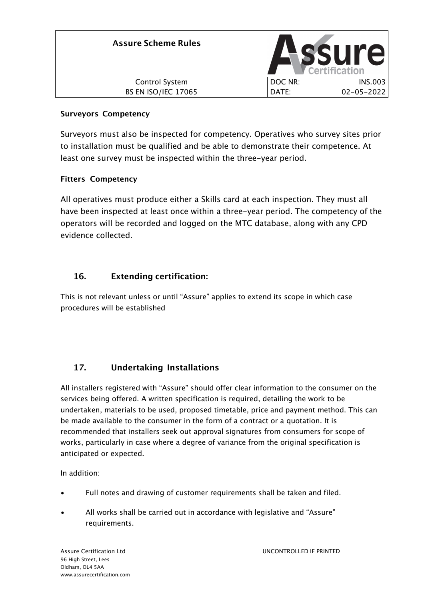| <b>Assure Scheme Rules</b> |         | <b>ssure</b><br>Certification |
|----------------------------|---------|-------------------------------|
| Control System             | DOC NR: | <b>INS.003</b>                |
| <b>BS EN ISO/IEC 17065</b> | DATE:   | $02 - 05 - 2022$              |

### **Surveyors Competency**

Surveyors must also be inspected for competency. Operatives who survey sites prior to installation must be qualified and be able to demonstrate their competence. At least one survey must be inspected within the three-year period.

### **Fitters Competency**

All operatives must produce either a Skills card at each inspection. They must all have been inspected at least once within a three-year period. The competency of the operators will be recorded and logged on the MTC database, along with any CPD evidence collected.

# **16. Extending certification:**

This is not relevant unless or until "Assure" applies to extend its scope in which case procedures will be established

# **17. Undertaking Installations**

All installers registered with "Assure" should offer clear information to the consumer on the services being offered. A written specification is required, detailing the work to be undertaken, materials to be used, proposed timetable, price and payment method. This can be made available to the consumer in the form of a contract or a quotation. It is recommended that installers seek out approval signatures from consumers for scope of works, particularly in case where a degree of variance from the original specification is anticipated or expected.

In addition:

- Full notes and drawing of customer requirements shall be taken and filed.
- All works shall be carried out in accordance with legislative and "Assure" requirements.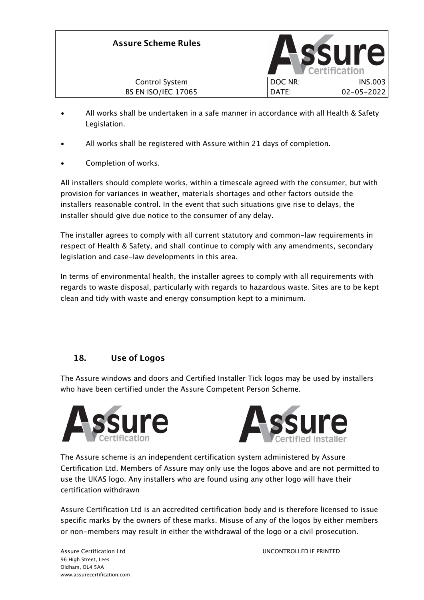

- All works shall be undertaken in a safe manner in accordance with all Health & Safety Legislation.
- All works shall be registered with Assure within 21 days of completion.
- Completion of works.

All installers should complete works, within a timescale agreed with the consumer, but with provision for variances in weather, materials shortages and other factors outside the installers reasonable control. In the event that such situations give rise to delays, the installer should give due notice to the consumer of any delay.

The installer agrees to comply with all current statutory and common-law requirements in respect of Health & Safety, and shall continue to comply with any amendments, secondary legislation and case-law developments in this area.

In terms of environmental health, the installer agrees to comply with all requirements with regards to waste disposal, particularly with regards to hazardous waste. Sites are to be kept clean and tidy with waste and energy consumption kept to a minimum.

# **18. Use of Logos**

The Assure windows and doors and Certified Installer Tick logos may be used by installers who have been certified under the Assure Competent Person Scheme.





The Assure scheme is an independent certification system administered by Assure Certification Ltd. Members of Assure may only use the logos above and are not permitted to use the UKAS logo. Any installers who are found using any other logo will have their certification withdrawn

Assure Certification Ltd is an accredited certification body and is therefore licensed to issue specific marks by the owners of these marks. Misuse of any of the logos by either members or non-members may result in either the withdrawal of the logo or a civil prosecution.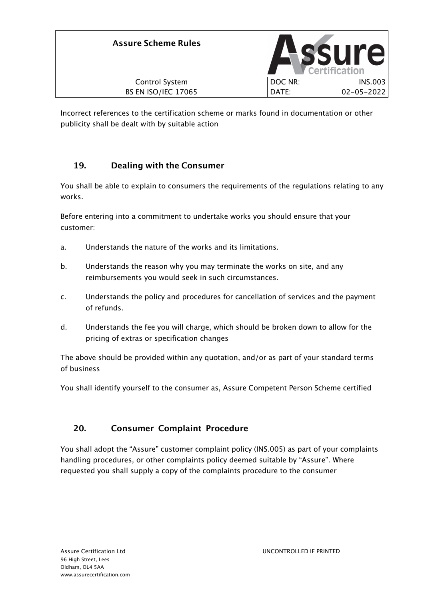| <b>Assure Scheme Rules</b> |         | <b>ssure</b><br>Certification |
|----------------------------|---------|-------------------------------|
| Control System             | DOC NR: | <b>INS.003</b>                |
| <b>BS EN ISO/IEC 17065</b> | DATE:   | $02 - 05 - 2022$              |

Incorrect references to the certification scheme or marks found in documentation or other publicity shall be dealt with by suitable action

# **19. Dealing with the Consumer**

You shall be able to explain to consumers the requirements of the regulations relating to any works.

Before entering into a commitment to undertake works you should ensure that your customer:

- a. Understands the nature of the works and its limitations.
- b. Understands the reason why you may terminate the works on site, and any reimbursements you would seek in such circumstances.
- c. Understands the policy and procedures for cancellation of services and the payment of refunds.
- d. Understands the fee you will charge, which should be broken down to allow for the pricing of extras or specification changes

The above should be provided within any quotation, and/or as part of your standard terms of business

You shall identify yourself to the consumer as, Assure Competent Person Scheme certified

# **20. Consumer Complaint Procedure**

You shall adopt the "Assure" customer complaint policy (INS.005) as part of your complaints handling procedures, or other complaints policy deemed suitable by "Assure". Where requested you shall supply a copy of the complaints procedure to the consumer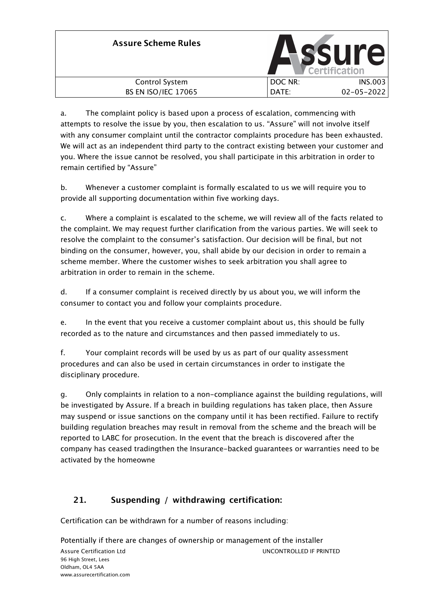| <b>Assure Scheme Rules</b> |         | <b>SSUr</b><br><b>Certification</b> |
|----------------------------|---------|-------------------------------------|
| <b>Control System</b>      | DOC NR: | INS.003                             |
| <b>BS EN ISO/IEC 17065</b> | DATE:   | $02 - 05 - 2022$                    |

a. The complaint policy is based upon a process of escalation, commencing with attempts to resolve the issue by you, then escalation to us. "Assure" will not involve itself with any consumer complaint until the contractor complaints procedure has been exhausted. We will act as an independent third party to the contract existing between your customer and you. Where the issue cannot be resolved, you shall participate in this arbitration in order to remain certified by "Assure"

b. Whenever a customer complaint is formally escalated to us we will require you to provide all supporting documentation within five working days.

c. Where a complaint is escalated to the scheme, we will review all of the facts related to the complaint. We may request further clarification from the various parties. We will seek to resolve the complaint to the consumer's satisfaction. Our decision will be final, but not binding on the consumer, however, you, shall abide by our decision in order to remain a scheme member. Where the customer wishes to seek arbitration you shall agree to arbitration in order to remain in the scheme.

d. If a consumer complaint is received directly by us about you, we will inform the consumer to contact you and follow your complaints procedure.

e. In the event that you receive a customer complaint about us, this should be fully recorded as to the nature and circumstances and then passed immediately to us.

f. Your complaint records will be used by us as part of our quality assessment procedures and can also be used in certain circumstances in order to instigate the disciplinary procedure.

g. Only complaints in relation to a non-compliance against the building regulations, will be investigated by Assure. If a breach in building regulations has taken place, then Assure may suspend or issue sanctions on the company until it has been rectified. Failure to rectify building regulation breaches may result in removal from the scheme and the breach will be reported to LABC for prosecution. In the event that the breach is discovered after the company has ceased tradingthen the Insurance-backed guarantees or warranties need to be activated by the homeowne

# **21. Suspending / withdrawing certification:**

Certification can be withdrawn for a number of reasons including:

Potentially if there are changes of ownership or management of the installer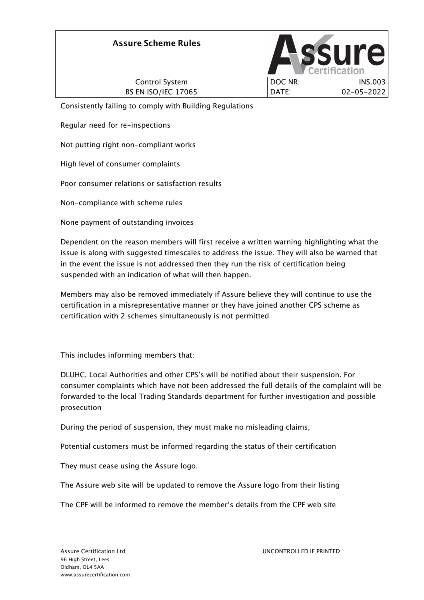# **Assure Scheme Rules** Control System BS EN ISO/IEC 17065 DOC NR: INS.003 DATE: 02-05-2022

Consistently failing to comply with Building Regulations

Regular need for re-inspections

Not putting right non-compliant works

High level of consumer complaints

Poor consumer relations or satisfaction results

Non-compliance with scheme rules

None payment of outstanding invoices

Dependent on the reason members will first receive a written warning highlighting what the issue is along with suggested timescales to address the issue. They will also be warned that in the event the issue is not addressed then they run the risk of certification being suspended with an indication of what will then happen.

Members may also be removed immediately if Assure believe they will continue to use the certification in a misrepresentative manner or they have joined another CPS scheme as certification with 2 schemes simultaneously is not permitted

This includes informing members that:

DLUHC, Local Authorities and other CPS's will be notified about their suspension. For consumer complaints which have not been addressed the full details of the complaint will be forwarded to the local Trading Standards department for further investigation and possible prosecution

During the period of suspension, they must make no misleading claims,

Potential customers must be informed regarding the status of their certification

They must cease using the Assure logo.

The Assure web site will be updated to remove the Assure logo from their listing

The CPF will be informed to remove the member's details from the CPF web site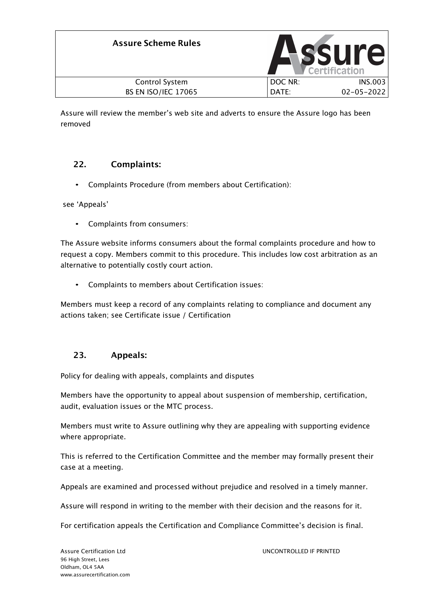| <b>Assure Scheme Rules</b> |         | <b>ssure</b><br>Certification |
|----------------------------|---------|-------------------------------|
| Control System             | DOC NR: | <b>INS.003</b>                |
| <b>BS EN ISO/IEC 17065</b> | DATE:   | $02 - 05 - 2022$              |

Assure will review the member's web site and adverts to ensure the Assure logo has been removed

### **22. Complaints:**

• Complaints Procedure (from members about Certification):

see 'Appeals'

• Complaints from consumers:

The Assure website informs consumers about the formal complaints procedure and how to request a copy. Members commit to this procedure. This includes low cost arbitration as an alternative to potentially costly court action.

• Complaints to members about Certification issues:

Members must keep a record of any complaints relating to compliance and document any actions taken; see Certificate issue / Certification

### **23. Appeals:**

Policy for dealing with appeals, complaints and disputes

Members have the opportunity to appeal about suspension of membership, certification, audit, evaluation issues or the MTC process.

Members must write to Assure outlining why they are appealing with supporting evidence where appropriate.

This is referred to the Certification Committee and the member may formally present their case at a meeting.

Appeals are examined and processed without prejudice and resolved in a timely manner.

Assure will respond in writing to the member with their decision and the reasons for it.

For certification appeals the Certification and Compliance Committee's decision is final.